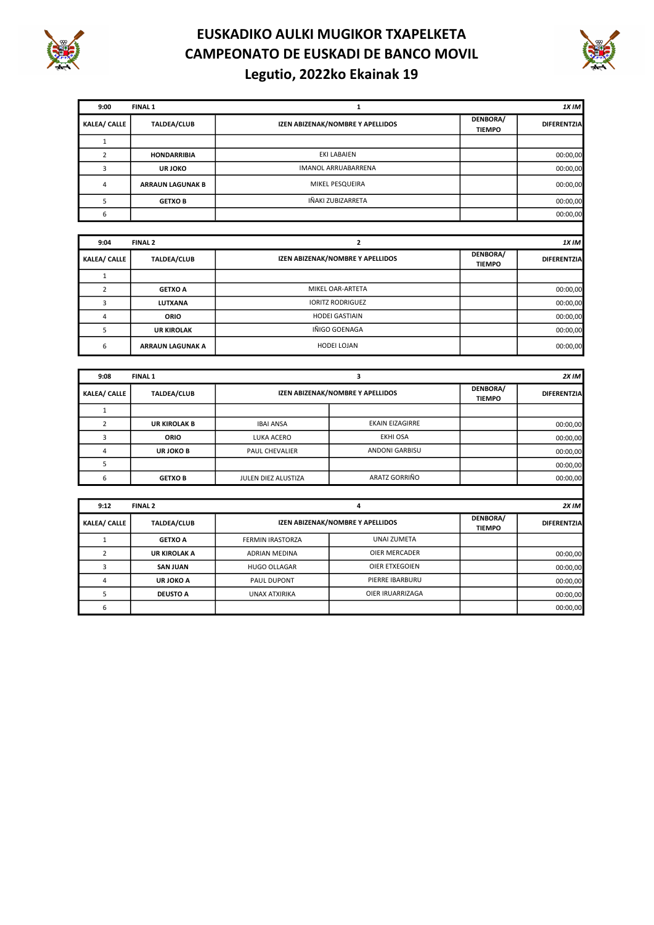



| 9:00                | <b>FINAL 1</b>          |                                  |                           | 1X <sub>IM</sub>   |
|---------------------|-------------------------|----------------------------------|---------------------------|--------------------|
| <b>KALEA/ CALLE</b> | <b>TALDEA/CLUB</b>      | IZEN ABIZENAK/NOMBRE Y APELLIDOS | DENBORA/<br><b>TIEMPO</b> | <b>DIFERENTZIA</b> |
|                     |                         |                                  |                           |                    |
|                     | <b>HONDARRIBIA</b>      | EKI LABAIEN                      |                           | 00:00,00           |
|                     | <b>URJOKO</b>           | IMANOL ARRUABARRENA              |                           | 00:00,00           |
| 4                   | <b>ARRAUN LAGUNAK B</b> | MIKEL PESQUEIRA                  |                           | 00:00,00           |
|                     | <b>GETXOB</b>           | IÑAKI ZUBIZARRETA                |                           | 00:00,00           |
|                     |                         |                                  |                           | 00:00,00           |

| 9:04                | FINAL 2                 |                                  |                           | 1XIM               |
|---------------------|-------------------------|----------------------------------|---------------------------|--------------------|
| <b>KALEA/ CALLE</b> | <b>TALDEA/CLUB</b>      | IZEN ABIZENAK/NOMBRE Y APELLIDOS | DENBORA/<br><b>TIEMPO</b> | <b>DIFERENTZIA</b> |
|                     |                         |                                  |                           |                    |
|                     | <b>GETXO A</b>          | MIKEL OAR-ARTETA                 |                           | 00:00,00           |
|                     | LUTXANA                 | <b>IORITZ RODRIGUEZ</b>          |                           | 00:00,00           |
| 4                   | <b>ORIO</b>             | <b>HODEI GASTIAIN</b>            |                           | 00:00,00           |
|                     | <b>UR KIROLAK</b>       | IÑIGO GOENAGA                    |                           | 00:00,00           |
| 6                   | <b>ARRAUN LAGUNAK A</b> | HODEI LOJAN                      |                           | 00:00,00           |

| 9:08<br><b>FINAL 1</b> |                     |                                  |                        |                           | 2X IM              |
|------------------------|---------------------|----------------------------------|------------------------|---------------------------|--------------------|
| <b>KALEA/ CALLE</b>    | <b>TALDEA/CLUB</b>  | IZEN ABIZENAK/NOMBRE Y APELLIDOS |                        | DENBORA/<br><b>TIEMPO</b> | <b>DIFERENTZIA</b> |
|                        |                     |                                  |                        |                           |                    |
|                        | <b>UR KIROLAK B</b> | <b>IBAI ANSA</b>                 | <b>EKAIN EIZAGIRRE</b> |                           | 00:00,00           |
|                        | <b>ORIO</b>         | LUKA ACERO                       | <b>EKHI OSA</b>        |                           | 00:00,00           |
|                        | UR JOKO B           | <b>PAUL CHEVALIER</b>            | ANDONI GARBISU         |                           | 00:00,00           |
|                        |                     |                                  |                        |                           | 00:00,00           |
|                        | <b>GETXO B</b>      | JULEN DIEZ ALUSTIZA              | ARATZ GORRIÑO          |                           | 00:00,00           |
|                        |                     |                                  |                        |                           |                    |

| 9:12                | FINAL 2            |                                  |                      |                           | $2X$ IM            |
|---------------------|--------------------|----------------------------------|----------------------|---------------------------|--------------------|
| <b>KALEA/ CALLE</b> | <b>TALDEA/CLUB</b> | IZEN ABIZENAK/NOMBRE Y APELLIDOS |                      | DENBORA/<br><b>TIEMPO</b> | <b>DIFERENTZIA</b> |
|                     | <b>GETXO A</b>     | <b>FERMIN IRASTORZA</b>          | UNAI ZUMETA          |                           |                    |
|                     | UR KIROLAK A       | ADRIAN MEDINA                    | <b>OIER MERCADER</b> |                           | 00:00,00           |
|                     | <b>SAN JUAN</b>    | <b>HUGO OLLAGAR</b>              | OIER ETXEGOIEN       |                           | 00:00,00           |
|                     | UR JOKO A          | PAUL DUPONT                      | PIERRE IBARBURU      |                           | 00:00,00           |
|                     | <b>DEUSTO A</b>    | UNAX ATXIRIKA                    | OIER IRUARRIZAGA     |                           | 00:00,00           |
| b                   |                    |                                  |                      |                           | 00:00,00           |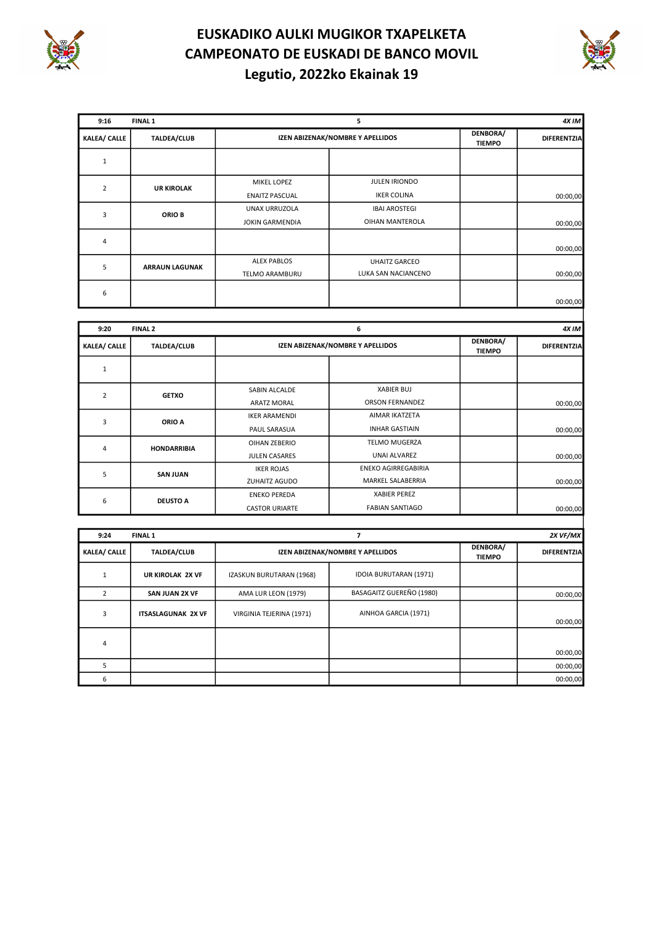

 $\mathsf{l}$ 

# EUSKADIKO AULKI MUGIKOR TXAPELKETA CAMPEONATO DE EUSKADI DE BANCO MOVIL Legutio, 2022ko Ekainak 19



| 9:16                | FINAL 1               |                        | 5                                |                           | 4X IM              |
|---------------------|-----------------------|------------------------|----------------------------------|---------------------------|--------------------|
| <b>KALEA/ CALLE</b> | <b>TALDEA/CLUB</b>    |                        | IZEN ABIZENAK/NOMBRE Y APELLIDOS | DENBORA/<br><b>TIEMPO</b> | <b>DIFERENTZIA</b> |
| $\mathbf{1}$        |                       |                        |                                  |                           |                    |
| $\overline{2}$      | <b>UR KIROLAK</b>     | MIKEL LOPEZ            | JULEN IRIONDO                    |                           |                    |
|                     |                       | <b>ENAITZ PASCUAL</b>  | <b>IKER COLINA</b>               |                           | 00:00,00           |
| 3                   | ORIO B                | UNAX URRUZOLA          | <b>IBAI AROSTEGI</b>             |                           |                    |
|                     |                       | <b>JOKIN GARMENDIA</b> | OIHAN MANTEROLA                  |                           | 00:00,00           |
| $\overline{4}$      |                       |                        |                                  |                           | 00:00,00           |
| 5                   | <b>ARRAUN LAGUNAK</b> | <b>ALEX PABLOS</b>     | <b>UHAITZ GARCEO</b>             |                           |                    |
|                     |                       | <b>TELMO ARAMBURU</b>  | LUKA SAN NACIANCENO              |                           | 00:00,00           |
| 6                   |                       |                        |                                  |                           | 00:00,00           |
|                     |                       |                        |                                  |                           |                    |
| 9:20                | FINAL 2               |                        | 6                                |                           | 4X IM              |
| <b>KALEA/ CALLE</b> | <b>TALDEA/CLUB</b>    |                        | IZEN ABIZENAK/NOMBRE Y APELLIDOS | DENBORA/<br><b>TIEMPO</b> | <b>DIFERENTZIA</b> |
| $\mathbf{1}$        |                       |                        |                                  |                           |                    |
|                     |                       | SABIN ALCALDE          | <b>XABIER BUJ</b>                |                           |                    |
| $\overline{2}$      | <b>GETXO</b>          | <b>ARATZ MORAL</b>     | <b>ORSON FERNANDEZ</b>           |                           | 00:00,00           |

|   | ORIO A             | <b>IKER ARAMENDI</b>  | AIMAR IKATZETA             |          |
|---|--------------------|-----------------------|----------------------------|----------|
|   |                    | PAUL SARASUA          | <b>INHAR GASTIAIN</b>      | 00:00,00 |
| 4 | <b>HONDARRIBIA</b> | OIHAN ZEBERIO         | <b>TELMO MUGERZA</b>       |          |
|   | <b>SAN JUAN</b>    | <b>JULEN CASARES</b>  | UNAI ALVAREZ               | 00:00,00 |
|   |                    | <b>IKER ROJAS</b>     | <b>ENEKO AGIRREGABIRIA</b> |          |
|   |                    | ZUHAITZ AGUDO         | MARKEL SALABERRIA          | 00:00,00 |
|   |                    | <b>ENEKO PEREDA</b>   | <b>XABIER PEREZ</b>        |          |
| 6 | <b>DEUSTO A</b>    | <b>CASTOR URIARTE</b> | <b>FABIAN SANTIAGO</b>     | 00:00,00 |
|   |                    |                       |                            |          |

| 9:24                | <b>FINAL 1</b>            |                          |                                  |                           | 2X VF/MX           |
|---------------------|---------------------------|--------------------------|----------------------------------|---------------------------|--------------------|
| <b>KALEA/ CALLE</b> | <b>TALDEA/CLUB</b>        |                          | IZEN ABIZENAK/NOMBRE Y APELLIDOS | DENBORA/<br><b>TIEMPO</b> | <b>DIFERENTZIA</b> |
|                     | UR KIROLAK 2X VF          | IZASKUN BURUTARAN (1968) | IDOIA BURUTARAN (1971)           |                           |                    |
|                     | SAN JUAN 2X VF            | AMA LUR LEON (1979)      | BASAGAITZ GUEREÑO (1980)         |                           | 00:00,00           |
| 3                   | <b>ITSASLAGUNAK 2X VF</b> | VIRGINIA TEJERINA (1971) | AINHOA GARCIA (1971)             |                           | 00:00,00           |
| 4                   |                           |                          |                                  |                           | 00:00,00           |
|                     |                           |                          |                                  |                           | 00:00,00           |
| 6                   |                           |                          |                                  |                           | 00:00,00           |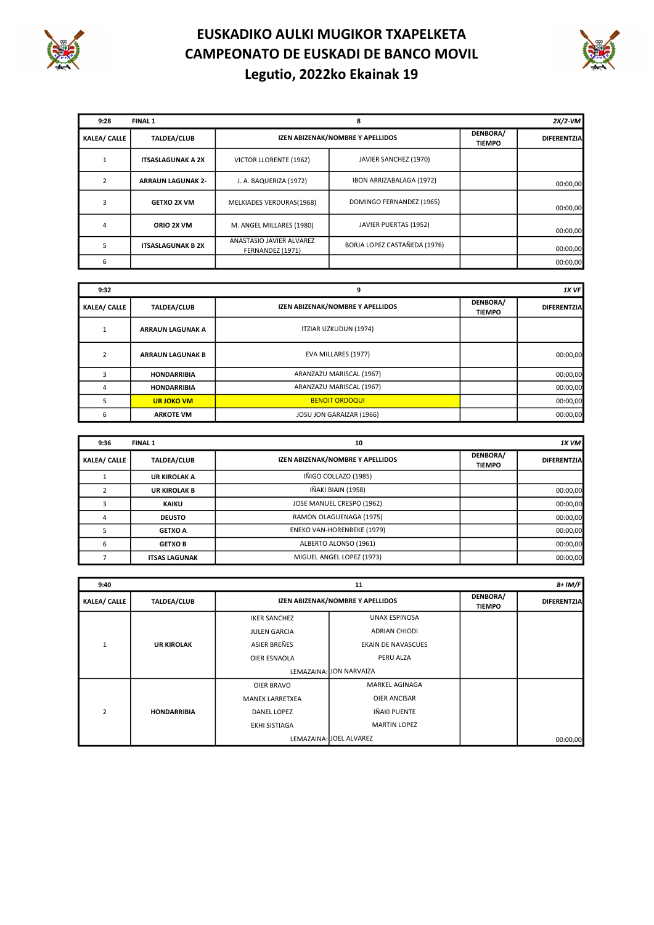



| 9:28                | FINAL 1                  |                                              | 8                                |                           | $2X/2$ -VM         |
|---------------------|--------------------------|----------------------------------------------|----------------------------------|---------------------------|--------------------|
| <b>KALEA/ CALLE</b> | <b>TALDEA/CLUB</b>       |                                              | IZEN ABIZENAK/NOMBRE Y APELLIDOS | DENBORA/<br><b>TIEMPO</b> | <b>DIFERENTZIA</b> |
|                     | <b>ITSASLAGUNAK A 2X</b> | VICTOR LLORENTE (1962)                       | JAVIER SANCHEZ (1970)            |                           |                    |
|                     | <b>ARRAUN LAGUNAK 2-</b> | J. A. BAQUERIZA (1972)                       | IBON ARRIZABALAGA (1972)         |                           | 00:00,00           |
| 3                   | <b>GETXO 2X VM</b>       | MELKIADES VERDURAS(1968)                     | DOMINGO FERNANDEZ (1965)         |                           | 00:00,00           |
|                     | ORIO 2X VM               | M. ANGEL MILLARES (1980)                     | JAVIER PUERTAS (1952)            |                           | 00:00,00           |
|                     | <b>ITSASLAGUNAK B 2X</b> | ANASTASIO JAVIER ALVAREZ<br>FERNANDEZ (1971) | BORJA LOPEZ CASTAÑEDA (1976)     |                           | 00:00,00           |
| 6                   |                          |                                              |                                  |                           | 00:00,00           |

| 9:32                | 9                       |                                  |                           | 1X VF              |
|---------------------|-------------------------|----------------------------------|---------------------------|--------------------|
| <b>KALEA/ CALLE</b> | <b>TALDEA/CLUB</b>      | IZEN ABIZENAK/NOMBRE Y APELLIDOS | DENBORA/<br><b>TIEMPO</b> | <b>DIFERENTZIA</b> |
|                     | <b>ARRAUN LAGUNAK A</b> | ITZIAR UZKUDUN (1974)            |                           |                    |
| $\overline{2}$      | <b>ARRAUN LAGUNAK B</b> | EVA MILLARES (1977)              |                           | 00:00,00           |
|                     | <b>HONDARRIBIA</b>      | ARANZAZU MARISCAL (1967)         |                           | 00:00,00           |
|                     | <b>HONDARRIBIA</b>      | ARANZAZU MARISCAL (1967)         |                           | 00:00,00           |
| 5                   | <b>URJOKO VM</b>        | <b>BENOIT ORDOQUI</b>            |                           | 00:00,00           |
| 6                   | <b>ARKOTE VM</b>        | JOSU JON GARAIZAR (1966)         |                           | 00:00,00           |

| 9:36                | <b>FINAL 1</b>       | 10                               |                           | $1X$ VM            |
|---------------------|----------------------|----------------------------------|---------------------------|--------------------|
| <b>KALEA/ CALLE</b> | <b>TALDEA/CLUB</b>   | IZEN ABIZENAK/NOMBRE Y APELLIDOS | DENBORA/<br><b>TIEMPO</b> | <b>DIFERENTZIA</b> |
|                     | <b>UR KIROLAK A</b>  | IÑIGO COLLAZO (1985)             |                           |                    |
|                     | <b>UR KIROLAK B</b>  | IÑAKI BIAIN (1958)               |                           | 00:00,00           |
|                     | <b>KAIKU</b>         | JOSE MANUEL CRESPO (1962)        |                           | 00:00,00           |
| 4                   | <b>DEUSTO</b>        | RAMON OLAGUENAGA (1975)          |                           | 00:00,00           |
|                     | <b>GETXO A</b>       | ENEKO VAN-HORENBEKE (1979)       |                           | 00:00,00           |
| 6                   | <b>GETXO B</b>       | ALBERTO ALONSO (1961)            |                           | 00:00,00           |
|                     | <b>ITSAS LAGUNAK</b> | MIGUEL ANGEL LOPEZ (1973)        |                           | 00:00,00           |

| 9:40                |                    |                         | 11                               |                           |                    |
|---------------------|--------------------|-------------------------|----------------------------------|---------------------------|--------------------|
| <b>KALEA/ CALLE</b> | <b>TALDEA/CLUB</b> |                         | IZEN ABIZENAK/NOMBRE Y APELLIDOS | DENBORA/<br><b>TIEMPO</b> | <b>DIFERENTZIA</b> |
|                     |                    | <b>IKER SANCHEZ</b>     | UNAX ESPINOSA                    |                           |                    |
|                     |                    | <b>JULEN GARCIA</b>     | ADRIAN CHIODI                    |                           |                    |
| 1                   | <b>UR KIROLAK</b>  | ASIER BREÑES            | <b>EKAIN DE NAVASCUES</b>        |                           |                    |
|                     |                    | OIER ESNAOLA            | PERU ALZA                        |                           |                    |
|                     |                    | LEMAZAINA: JON NARVAIZA |                                  |                           |                    |
|                     |                    | OIER BRAVO              | MARKEL AGINAGA                   |                           |                    |
|                     |                    | <b>MANEX LARRETXEA</b>  | <b>OIER ANCISAR</b>              |                           |                    |
| $\overline{2}$      | <b>HONDARRIBIA</b> | DANEL LOPEZ             | <b>IÑAKI PUENTE</b>              |                           |                    |
|                     |                    | <b>EKHI SISTIAGA</b>    | <b>MARTIN LOPEZ</b>              |                           |                    |
|                     |                    |                         | LEMAZAINA: JOEL ALVAREZ          |                           | 00:00,00           |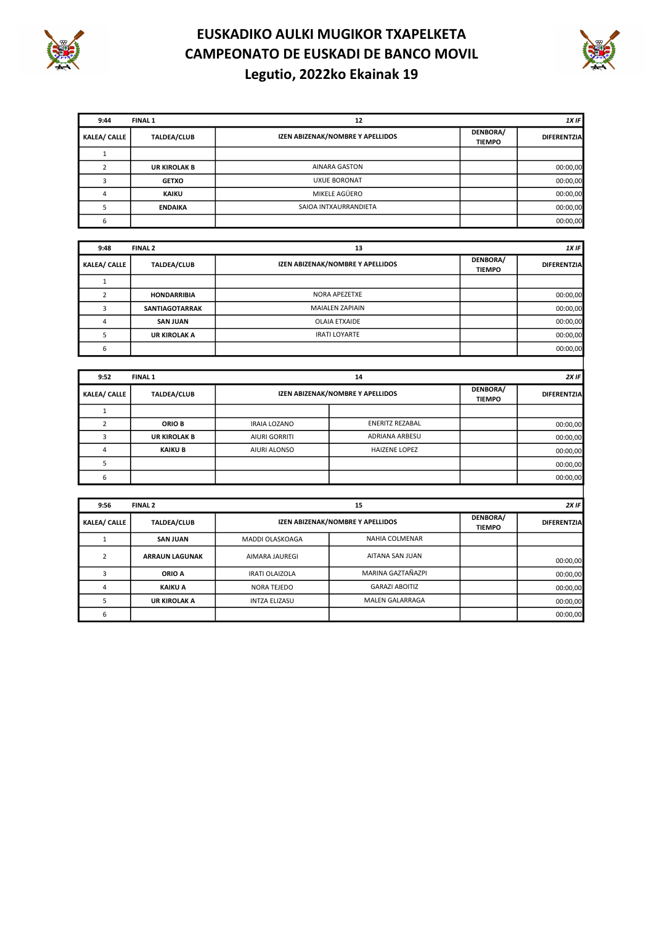



| 9:44                | <b>FINAL 1</b>      | 12                               |                           | 1X IF              |
|---------------------|---------------------|----------------------------------|---------------------------|--------------------|
| <b>KALEA/ CALLE</b> | <b>TALDEA/CLUB</b>  | IZEN ABIZENAK/NOMBRE Y APELLIDOS | DENBORA/<br><b>TIEMPO</b> | <b>DIFERENTZIA</b> |
|                     |                     |                                  |                           |                    |
|                     | <b>UR KIROLAK B</b> | <b>AINARA GASTON</b>             |                           | 00:00,00           |
|                     | <b>GETXO</b>        | <b>UXUE BORONAT</b>              |                           | 00:00,00           |
|                     | <b>KAIKU</b>        | MIKELE AGÜERO                    |                           | 00:00,00           |
|                     | <b>ENDAIKA</b>      | SAIOA INTXAURRANDIETA            |                           | 00:00,00           |
| 6                   |                     |                                  |                           | 00:00,00           |

| 9:48                | <b>FINAL 2</b>        | 13                               |                           | 1X IF              |
|---------------------|-----------------------|----------------------------------|---------------------------|--------------------|
| <b>KALEA/ CALLE</b> | <b>TALDEA/CLUB</b>    | IZEN ABIZENAK/NOMBRE Y APELLIDOS | DENBORA/<br><b>TIEMPO</b> | <b>DIFERENTZIA</b> |
|                     |                       |                                  |                           |                    |
|                     | <b>HONDARRIBIA</b>    | NORA APEZETXE                    |                           | 00:00,00           |
|                     | <b>SANTIAGOTARRAK</b> | <b>MAIALEN ZAPIAIN</b>           |                           | 00:00,00           |
|                     | <b>SAN JUAN</b>       | <b>OLAIA ETXAIDE</b>             |                           | 00:00,00           |
|                     | <b>UR KIROLAK A</b>   | <b>IRATI LOYARTE</b>             |                           | 00:00,00           |
| 6                   |                       |                                  |                           | 00:00,00           |

| 9:52                | <b>FINAL 1</b>      |                                  | 14                   |                           | 2XIF               |
|---------------------|---------------------|----------------------------------|----------------------|---------------------------|--------------------|
| <b>KALEA/ CALLE</b> | <b>TALDEA/CLUB</b>  | IZEN ABIZENAK/NOMBRE Y APELLIDOS |                      | DENBORA/<br><b>TIEMPO</b> | <b>DIFERENTZIA</b> |
|                     |                     |                                  |                      |                           |                    |
|                     | <b>ORIO B</b>       | <b>IRAIA LOZANO</b>              | ENERITZ REZABAL      |                           | 00:00,00           |
|                     | <b>UR KIROLAK B</b> | <b>AIURI GORRITI</b>             | ADRIANA ARBESU       |                           | 00:00,00           |
|                     | <b>KAIKU B</b>      | <b>AIURI ALONSO</b>              | <b>HAIZENE LOPEZ</b> |                           | 00:00,00           |
|                     |                     |                                  |                      |                           | 00:00,00           |
|                     |                     |                                  |                      |                           | 00:00,00           |

| 9:56                | FINAL 2               |                                  | 15                     |                           | $2X$ IF            |
|---------------------|-----------------------|----------------------------------|------------------------|---------------------------|--------------------|
| <b>KALEA/ CALLE</b> | <b>TALDEA/CLUB</b>    | IZEN ABIZENAK/NOMBRE Y APELLIDOS |                        | DENBORA/<br><b>TIEMPO</b> | <b>DIFERENTZIA</b> |
|                     | <b>SAN JUAN</b>       | MADDI OLASKOAGA                  | NAHIA COLMENAR         |                           |                    |
|                     | <b>ARRAUN LAGUNAK</b> | AIMARA JAUREGI                   | AITANA SAN JUAN        |                           | 00:00,00           |
|                     | ORIO A                | <b>IRATI OLAIZOLA</b>            | MARINA GAZTAÑAZPI      |                           | 00:00,00           |
| 4                   | <b>KAIKU A</b>        | NORA TEJEDO                      | <b>GARAZI ABOITIZ</b>  |                           | 00:00,00           |
|                     | <b>UR KIROLAK A</b>   | <b>INTZA ELIZASU</b>             | <b>MALEN GALARRAGA</b> |                           | 00:00,00           |
| 6                   |                       |                                  |                        |                           | 00:00,00           |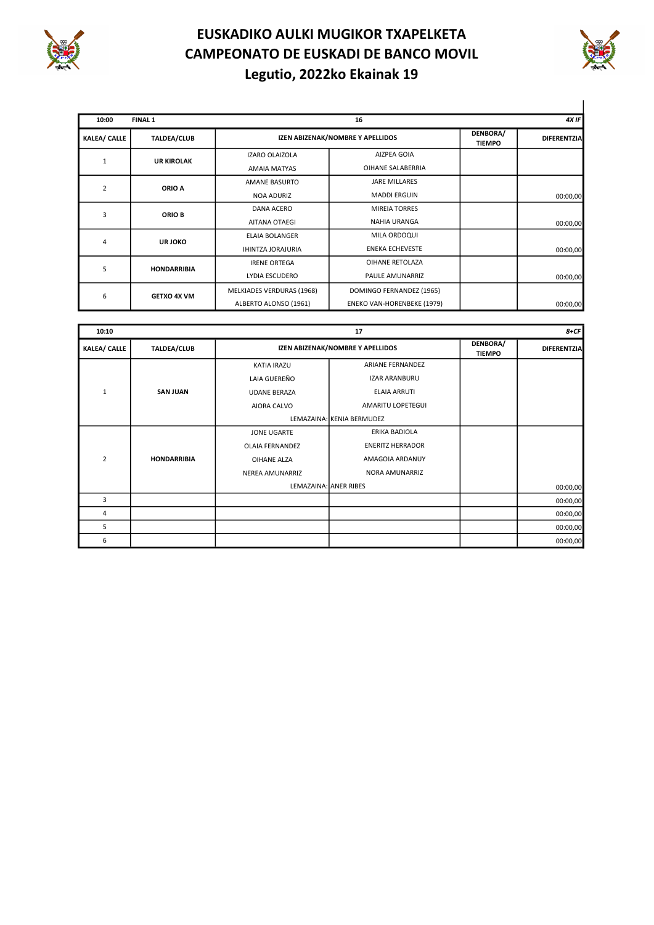



| 10:00               | <b>FINAL 1</b>     |                           | 16                               |                           | 4X IF              |
|---------------------|--------------------|---------------------------|----------------------------------|---------------------------|--------------------|
| <b>KALEA/ CALLE</b> | <b>TALDEA/CLUB</b> |                           | IZEN ABIZENAK/NOMBRE Y APELLIDOS | DENBORA/<br><b>TIEMPO</b> | <b>DIFERENTZIA</b> |
|                     | <b>UR KIROLAK</b>  | <b>IZARO OLAIZOLA</b>     | AIZPEA GOIA                      |                           |                    |
|                     |                    | AMAIA MATYAS              | OIHANE SALABERRIA                |                           |                    |
| $\overline{2}$      | ORIO A             | AMANE BASURTO             | <b>JARE MILLARES</b>             |                           |                    |
|                     |                    | <b>NOA ADURIZ</b>         | <b>MADDI ERGUIN</b>              |                           | 00:00,00           |
| 3                   | ORIO B             | <b>DANA ACERO</b>         | <b>MIREIA TORRES</b>             |                           |                    |
|                     |                    | AITANA OTAEGI             | <b>NAHIA URANGA</b>              |                           | 00:00,00           |
| 4                   | <b>UR JOKO</b>     | <b>ELAIA BOLANGER</b>     | MILA ORDOQUI                     |                           |                    |
|                     |                    | <b>IHINTZA JORAJURIA</b>  | <b>ENEKA ECHEVESTE</b>           |                           | 00:00,00           |
| 5                   | <b>HONDARRIBIA</b> | <b>IRENE ORTEGA</b>       | OIHANE RETOLAZA                  |                           |                    |
|                     |                    | LYDIA ESCUDERO            | PAULE AMUNARRIZ                  |                           | 00:00,00           |
|                     | <b>GETXO 4X VM</b> | MELKIADES VERDURAS (1968) | DOMINGO FERNANDEZ (1965)         |                           |                    |
| 6                   |                    | ALBERTO ALONSO (1961)     | ENEKO VAN-HORENBEKE (1979)       |                           | 00:00,00           |

| 10:10               |                    |                           | 17                               |                           | $8+CF$             |
|---------------------|--------------------|---------------------------|----------------------------------|---------------------------|--------------------|
| <b>KALEA/ CALLE</b> | <b>TALDEA/CLUB</b> |                           | IZEN ABIZENAK/NOMBRE Y APELLIDOS | DENBORA/<br><b>TIEMPO</b> | <b>DIFERENTZIA</b> |
|                     |                    | <b>KATIA IRAZU</b>        | <b>ARIANE FERNANDEZ</b>          |                           |                    |
|                     |                    | LAIA GUEREÑO              | <b>IZAR ARANBURU</b>             |                           |                    |
| $\mathbf{1}$        | <b>SAN JUAN</b>    | <b>UDANE BERAZA</b>       | ELAIA ARRUTI                     |                           |                    |
|                     |                    | AIORA CALVO               | AMARITU LOPETEGUI                |                           |                    |
|                     |                    | LEMAZAINA: KENIA BERMUDEZ |                                  |                           |                    |
|                     |                    | JONE UGARTE               | ERIKA BADIOLA                    |                           |                    |
|                     |                    | <b>OLAIA FERNANDEZ</b>    | <b>ENERITZ HERRADOR</b>          |                           |                    |
| $\overline{2}$      | <b>HONDARRIBIA</b> | OIHANE ALZA               | AMAGOIA ARDANUY                  |                           |                    |
|                     |                    | NEREA AMUNARRIZ           | NORA AMUNARRIZ                   |                           |                    |
|                     |                    | LEMAZAINA: ANER RIBES     |                                  |                           | 00:00,00           |
| 3                   |                    |                           |                                  |                           | 00:00,00           |
| 4                   |                    |                           |                                  |                           | 00:00,00           |
| 5                   |                    |                           |                                  |                           | 00:00,00           |
| 6                   |                    |                           |                                  |                           | 00:00,00           |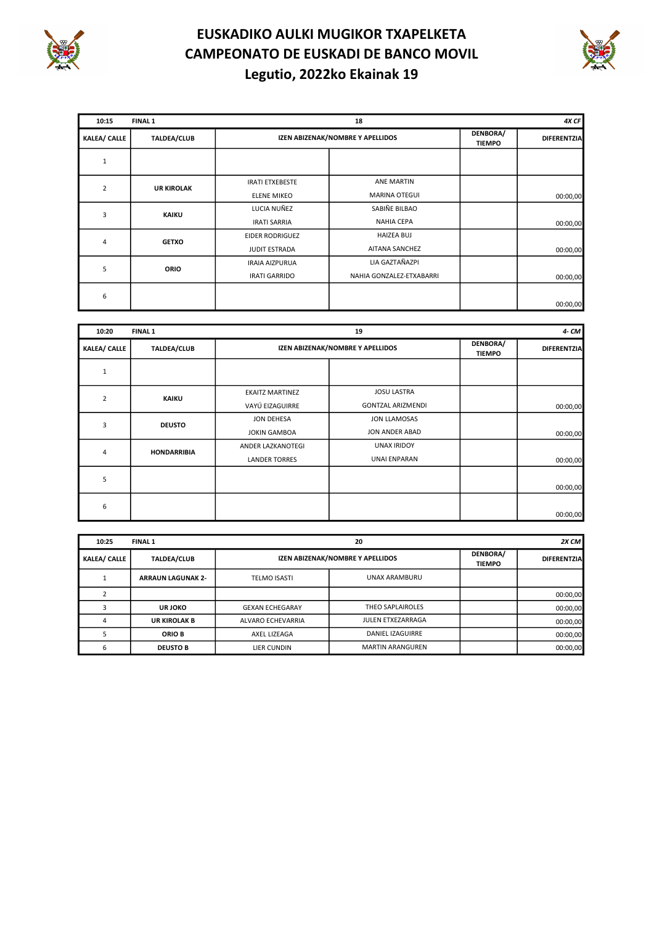



| 10:15               | <b>FINAL 1</b>     |                        | 18                               |                           | 4X CF       |
|---------------------|--------------------|------------------------|----------------------------------|---------------------------|-------------|
| <b>KALEA/ CALLE</b> | <b>TALDEA/CLUB</b> |                        | IZEN ABIZENAK/NOMBRE Y APELLIDOS | DENBORA/<br><b>TIEMPO</b> | DIFERENTZIA |
| $\mathbf{1}$        |                    |                        |                                  |                           |             |
| $\overline{2}$      | <b>UR KIROLAK</b>  | <b>IRATI ETXEBESTE</b> | <b>ANE MARTIN</b>                |                           |             |
|                     |                    | <b>ELENE MIKEO</b>     | <b>MARINA OTEGUI</b>             |                           | 00:00,00    |
| 3                   |                    | LUCIA NUÑEZ            | SABIÑE BILBAO                    |                           |             |
|                     | <b>KAIKU</b>       | <b>IRATI SARRIA</b>    | <b>NAHIA CEPA</b>                |                           | 00:00,00    |
| 4                   | <b>GETXO</b>       | <b>EIDER RODRIGUEZ</b> | <b>HAIZEA BUJ</b>                |                           |             |
|                     |                    | JUDIT ESTRADA          | AITANA SANCHEZ                   |                           | 00:00,00    |
| 5                   | <b>ORIO</b>        | <b>IRAIA AIZPURUA</b>  | LIA GAZTAÑAZPI                   |                           |             |
|                     |                    | <b>IRATI GARRIDO</b>   | NAHIA GONZALEZ-ETXABARRI         |                           | 00:00,00    |
| 6                   |                    |                        |                                  |                           |             |
|                     |                    |                        |                                  |                           | 00:00,00    |

| 10:20               | <b>FINAL 1</b>     |                        | 19                               |                           | 4- CM              |
|---------------------|--------------------|------------------------|----------------------------------|---------------------------|--------------------|
| <b>KALEA/ CALLE</b> | <b>TALDEA/CLUB</b> |                        | IZEN ABIZENAK/NOMBRE Y APELLIDOS | DENBORA/<br><b>TIEMPO</b> | <b>DIFERENTZIA</b> |
| 1                   |                    |                        |                                  |                           |                    |
| $\overline{2}$      | <b>KAIKU</b>       | <b>EKAITZ MARTINEZ</b> | <b>JOSU LASTRA</b>               |                           |                    |
|                     |                    | VAYÚ EIZAGUIRRE        | <b>GONTZAL ARIZMENDI</b>         |                           | 00:00,00           |
| 3                   |                    | JON DEHESA             | <b>JON LLAMOSAS</b>              |                           |                    |
|                     | <b>DEUSTO</b>      | <b>JOKIN GAMBOA</b>    | JON ANDER ABAD                   |                           | 00:00,00           |
| 4                   | <b>HONDARRIBIA</b> | ANDER LAZKANOTEGI      | <b>UNAX IRIDOY</b>               |                           |                    |
|                     |                    | <b>LANDER TORRES</b>   | UNAI ENPARAN                     |                           | 00:00,00           |
| 5                   |                    |                        |                                  |                           |                    |
|                     |                    |                        |                                  |                           | 00:00,00           |
| 6                   |                    |                        |                                  |                           |                    |
|                     |                    |                        |                                  |                           | 00:00,00           |

| 10:25               | <b>FINAL 1</b>           |                                  | 20                      |                           | 2X CM              |
|---------------------|--------------------------|----------------------------------|-------------------------|---------------------------|--------------------|
| <b>KALEA/ CALLE</b> | <b>TALDEA/CLUB</b>       | IZEN ABIZENAK/NOMBRE Y APELLIDOS |                         | DENBORA/<br><b>TIEMPO</b> | <b>DIFERENTZIA</b> |
|                     | <b>ARRAUN LAGUNAK 2-</b> | <b>TELMO ISASTI</b>              | UNAX ARAMBURU           |                           |                    |
|                     |                          |                                  |                         |                           | 00:00,00           |
|                     | <b>URJOKO</b>            | <b>GEXAN ECHEGARAY</b>           | THEO SAPLAIROLES        |                           | 00:00,00           |
|                     | <b>UR KIROLAK B</b>      | ALVARO ECHEVARRIA                | JULEN ETXEZARRAGA       |                           | 00:00,00           |
|                     | <b>ORIO B</b>            | AXEL LIZEAGA                     | DANIEL IZAGUIRRE        |                           | 00:00,00           |
|                     | <b>DEUSTO B</b>          | LIER CUNDIN                      | <b>MARTIN ARANGUREN</b> |                           | 00:00,00           |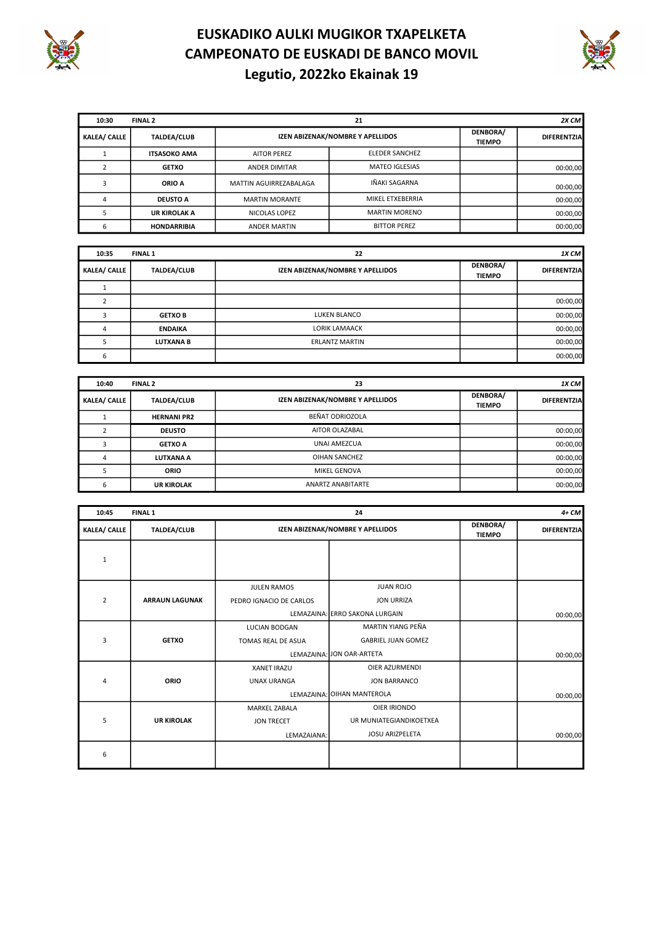



| 10:30               | FINAL 2             | 21                     |                                  |                           | 2X CM              |
|---------------------|---------------------|------------------------|----------------------------------|---------------------------|--------------------|
| <b>KALEA/ CALLE</b> | <b>TALDEA/CLUB</b>  |                        | IZEN ABIZENAK/NOMBRE Y APELLIDOS | DENBORA/<br><b>TIEMPO</b> | <b>DIFERENTZIA</b> |
|                     | <b>ITSASOKO AMA</b> | <b>AITOR PEREZ</b>     | <b>ELEDER SANCHEZ</b>            |                           |                    |
|                     | <b>GETXO</b>        | ANDER DIMITAR          | <b>MATEO IGLESIAS</b>            |                           | 00:00.00           |
|                     | ORIO A              | MATTIN AGUIRREZABALAGA | IÑAKI SAGARNA                    |                           | 00:00,00           |
|                     | <b>DEUSTO A</b>     | <b>MARTIN MORANTE</b>  | MIKEL ETXEBERRIA                 |                           | 00:00,00           |
|                     | <b>UR KIROLAK A</b> | NICOLAS LOPEZ          | <b>MARTIN MORENO</b>             |                           | 00:00,00           |
| 6                   | <b>HONDARRIBIA</b>  | <b>ANDER MARTIN</b>    | <b>BITTOR PEREZ</b>              |                           | 00:00,00           |

| 10:35<br><b>FINAL 1</b> |                    | 22                               |                           | 1X CM              |
|-------------------------|--------------------|----------------------------------|---------------------------|--------------------|
| <b>KALEA/ CALLE</b>     | <b>TALDEA/CLUB</b> | IZEN ABIZENAK/NOMBRE Y APELLIDOS | DENBORA/<br><b>TIEMPO</b> | <b>DIFERENTZIA</b> |
|                         |                    |                                  |                           |                    |
|                         |                    |                                  |                           | 00:00,00           |
|                         | <b>GETXOB</b>      | LUKEN BLANCO                     |                           | 00:00,00           |
|                         | <b>ENDAIKA</b>     | <b>LORIK LAMAACK</b>             |                           | 00:00,00           |
|                         | <b>LUTXANA B</b>   | <b>ERLANTZ MARTIN</b>            |                           | 00:00,00           |
|                         |                    |                                  |                           | 00:00,00           |

| FINAL <sub>2</sub><br>10:40 |                    | 23                               | $1X$ CM                   |                    |
|-----------------------------|--------------------|----------------------------------|---------------------------|--------------------|
| <b>KALEA/ CALLE</b>         | <b>TALDEA/CLUB</b> | IZEN ABIZENAK/NOMBRE Y APELLIDOS | DENBORA/<br><b>TIEMPO</b> | <b>DIFERENTZIA</b> |
|                             | <b>HERNANI PR2</b> | BEÑAT ODRIOZOLA                  |                           |                    |
|                             | <b>DEUSTO</b>      | AITOR OLAZABAL                   |                           | 00:00,00           |
|                             | <b>GETXO A</b>     | UNAI AMEZCUA                     |                           | 00:00,00           |
| 4                           | LUTXANA A          | OIHAN SANCHEZ                    |                           | 00:00,00           |
|                             | <b>ORIO</b>        | <b>MIKEL GENOVA</b>              |                           | 00:00,00           |
|                             | <b>UR KIROLAK</b>  | <b>ANARTZ ANABITARTE</b>         |                           | 00:00,00           |

| 10:45               | <b>FINAL 1</b>        |                         | 24                               |                           |                    |  |
|---------------------|-----------------------|-------------------------|----------------------------------|---------------------------|--------------------|--|
| <b>KALEA/ CALLE</b> | <b>TALDEA/CLUB</b>    |                         | IZEN ABIZENAK/NOMBRE Y APELLIDOS | DENBORA/<br><b>TIEMPO</b> | <b>DIFERENTZIA</b> |  |
| 1                   |                       |                         |                                  |                           |                    |  |
|                     |                       | <b>JULEN RAMOS</b>      | <b>JUAN ROJO</b>                 |                           |                    |  |
| $\overline{2}$      | <b>ARRAUN LAGUNAK</b> | PEDRO IGNACIO DE CARLOS | <b>JON URRIZA</b>                |                           |                    |  |
|                     |                       |                         | LEMAZAINA: ERRO SAKONA LURGAIN   |                           | 00:00,00           |  |
|                     |                       | LUCIAN BODGAN           | MARTIN YIANG PEÑA                |                           |                    |  |
| 3                   | <b>GETXO</b>          | TOMAS REAL DE ASUA      | <b>GABRIEL JUAN GOMEZ</b>        |                           |                    |  |
|                     |                       |                         | LEMAZAINA: JON OAR-ARTETA        |                           | 00:00,00           |  |
|                     |                       | <b>XANET IRAZU</b>      | <b>OIER AZURMENDI</b>            |                           |                    |  |
| 4                   | <b>ORIO</b>           | <b>UNAX URANGA</b>      | <b>JON BARRANCO</b>              |                           |                    |  |
|                     |                       |                         | LEMAZAINA: OIHAN MANTEROLA       |                           | 00:00,00           |  |
|                     |                       | <b>MARKEL ZABALA</b>    | OIER IRIONDO                     |                           |                    |  |
| 5                   | <b>UR KIROLAK</b>     | <b>JON TRECET</b>       | UR MUNIATEGIANDIKOETXEA          |                           |                    |  |
|                     |                       | LEMAZAIANA:             | <b>JOSU ARIZPELETA</b>           |                           | 00:00,00           |  |
| 6                   |                       |                         |                                  |                           |                    |  |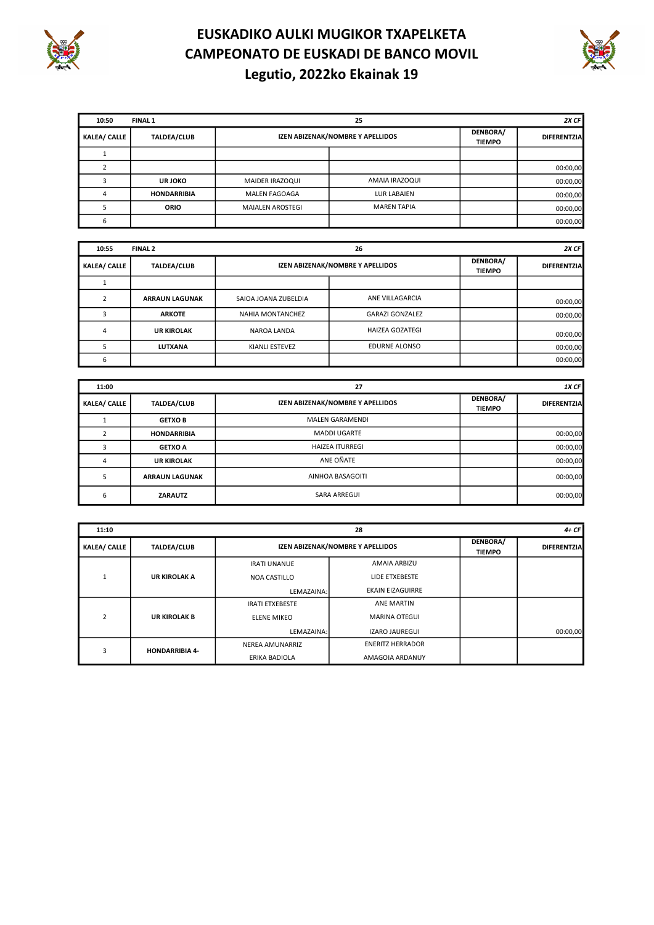



| 10:50               | <b>FINAL 1</b>     |                         | 2X CF                            |  |                    |
|---------------------|--------------------|-------------------------|----------------------------------|--|--------------------|
| <b>KALEA/ CALLE</b> | <b>TALDEA/CLUB</b> |                         | IZEN ABIZENAK/NOMBRE Y APELLIDOS |  | <b>DIFERENTZIA</b> |
|                     |                    |                         |                                  |  |                    |
|                     |                    |                         |                                  |  | 00:00,00           |
|                     | <b>URJOKO</b>      | MAIDER IRAZOQUI         | AMAIA IRAZOQUI                   |  | 00:00,00           |
|                     | <b>HONDARRIBIA</b> | <b>MALEN FAGOAGA</b>    | LUR LABAIEN                      |  | 00:00,00           |
|                     | <b>ORIO</b>        | <b>MAIALEN AROSTEGI</b> | <b>MAREN TAPIA</b>               |  | 00:00,00           |
| 6                   |                    |                         |                                  |  | 00:00,00           |

| 10:55               | FINAL 2               |                      | 26                               |  | 2X CF              |
|---------------------|-----------------------|----------------------|----------------------------------|--|--------------------|
| <b>KALEA/ CALLE</b> | <b>TALDEA/CLUB</b>    |                      | IZEN ABIZENAK/NOMBRE Y APELLIDOS |  | <b>DIFERENTZIA</b> |
|                     |                       |                      |                                  |  |                    |
|                     | <b>ARRAUN LAGUNAK</b> | SAIOA JOANA ZUBELDIA | ANE VILLAGARCIA                  |  | 00:00,00           |
|                     | <b>ARKOTE</b>         | NAHIA MONTANCHEZ     | <b>GARAZI GONZALEZ</b>           |  | 00:00,00           |
|                     | <b>UR KIROLAK</b>     | NAROA LANDA          | <b>HAIZEA GOZATEGI</b>           |  | 00:00,00           |
|                     | LUTXANA               | KIANLI ESTEVEZ       | <b>EDURNE ALONSO</b>             |  | 00:00,00           |
| b                   |                       |                      |                                  |  | 00:00,00           |

| 11:00               |                       | 27                               |                           |                    |  |
|---------------------|-----------------------|----------------------------------|---------------------------|--------------------|--|
| <b>KALEA/ CALLE</b> | <b>TALDEA/CLUB</b>    | IZEN ABIZENAK/NOMBRE Y APELLIDOS | DENBORA/<br><b>TIEMPO</b> | <b>DIFERENTZIA</b> |  |
|                     | <b>GETXOB</b>         | <b>MALEN GARAMENDI</b>           |                           |                    |  |
|                     | <b>HONDARRIBIA</b>    | <b>MADDI UGARTE</b>              |                           | 00:00,00           |  |
|                     | <b>GETXO A</b>        | <b>HAIZEA ITURREGI</b>           |                           | 00:00,00           |  |
|                     | <b>UR KIROLAK</b>     | ANE OÑATE                        |                           | 00:00,00           |  |
|                     | <b>ARRAUN LAGUNAK</b> | AINHOA BASAGOITI                 |                           | 00:00,00           |  |
|                     | <b>ZARAUTZ</b>        | <b>SARA ARREGUI</b>              |                           | 00:00,00           |  |

| 11:10               |                       | 28                     |                                  |                           |                    |  |
|---------------------|-----------------------|------------------------|----------------------------------|---------------------------|--------------------|--|
| <b>KALEA/ CALLE</b> | <b>TALDEA/CLUB</b>    |                        | IZEN ABIZENAK/NOMBRE Y APELLIDOS | DENBORA/<br><b>TIEMPO</b> | <b>DIFERENTZIA</b> |  |
|                     |                       | <b>IRATI UNANUE</b>    | AMAIA ARBIZU                     |                           |                    |  |
|                     | <b>UR KIROLAK A</b>   | <b>NOA CASTILLO</b>    | LIDE ETXEBESTE                   |                           |                    |  |
|                     |                       | LEMAZAINA:             | <b>EKAIN EIZAGUIRRE</b>          |                           |                    |  |
|                     |                       | <b>IRATI ETXEBESTE</b> | <b>ANE MARTIN</b>                |                           |                    |  |
| $\overline{2}$      | <b>UR KIROLAK B</b>   | <b>ELENE MIKEO</b>     | <b>MARINA OTEGUI</b>             |                           |                    |  |
|                     |                       | LEMAZAINA:             | <b>IZARO JAUREGUI</b>            |                           | 00:00,00           |  |
| 3                   | <b>HONDARRIBIA 4-</b> | NEREA AMUNARRIZ        | <b>ENERITZ HERRADOR</b>          |                           |                    |  |
|                     |                       | ERIKA BADIOLA          | AMAGOIA ARDANUY                  |                           |                    |  |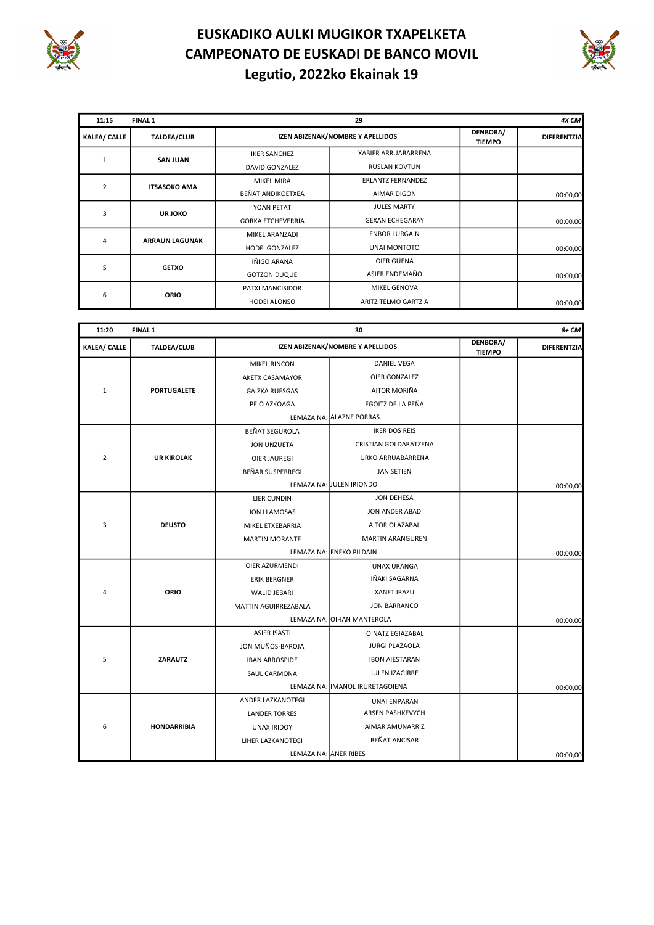



| 11:15               | <b>FINAL 1</b>        |                          |                                  | 4X CM                     |                    |
|---------------------|-----------------------|--------------------------|----------------------------------|---------------------------|--------------------|
| <b>KALEA/ CALLE</b> | <b>TALDEA/CLUB</b>    |                          | IZEN ABIZENAK/NOMBRE Y APELLIDOS | DENBORA/<br><b>TIEMPO</b> | <b>DIFERENTZIA</b> |
|                     | <b>SAN JUAN</b>       | <b>IKER SANCHEZ</b>      | <b>XABIER ARRUABARRENA</b>       |                           |                    |
|                     |                       | DAVID GONZALEZ           | <b>RUSLAN KOVTUN</b>             |                           |                    |
|                     |                       | <b>MIKEL MIRA</b>        | <b>ERLANTZ FERNANDEZ</b>         |                           |                    |
| $\overline{2}$      | <b>ITSASOKO AMA</b>   | <b>BEÑAT ANDIKOETXEA</b> | <b>AIMAR DIGON</b>               |                           | 00:00,00           |
| 3                   | UR JOKO               | YOAN PETAT               | <b>JULES MARTY</b>               |                           |                    |
|                     |                       | <b>GORKA ETCHEVERRIA</b> | <b>GEXAN ECHEGARAY</b>           |                           | 00:00,00           |
|                     |                       | MIKEL ARANZADI           | <b>ENBOR LURGAIN</b>             |                           |                    |
| 4                   | <b>ARRAUN LAGUNAK</b> | <b>HODEI GONZALEZ</b>    | <b>UNAI MONTOTO</b>              |                           | 00:00,00           |
|                     |                       | IÑIGO ARANA              | OIER GÜENA                       |                           |                    |
| 5<br><b>GETXO</b>   |                       | <b>GOTZON DUQUE</b>      | ASIER ENDEMAÑO                   |                           | 00:00,00           |
|                     |                       | PATXI MANCISIDOR         | <b>MIKEL GENOVA</b>              |                           |                    |
| 6                   | <b>ORIO</b>           | HODEI ALONSO             | ARITZ TELMO GARTZIA              |                           | 00:00,00           |

| 11:20               | <b>FINAL 1</b>     |                        | 30                               |                           | 8+ CM              |
|---------------------|--------------------|------------------------|----------------------------------|---------------------------|--------------------|
| <b>KALEA/ CALLE</b> | <b>TALDEA/CLUB</b> |                        | IZEN ABIZENAK/NOMBRE Y APELLIDOS | DENBORA/<br><b>TIEMPO</b> | <b>DIFERENTZIA</b> |
|                     |                    | <b>MIKEL RINCON</b>    | DANIEL VEGA                      |                           |                    |
|                     |                    | <b>AKETX CASAMAYOR</b> | <b>OIER GONZALEZ</b>             |                           |                    |
| $\mathbf{1}$        | <b>PORTUGALETE</b> | <b>GAIZKA RUESGAS</b>  | AITOR MORIÑA                     |                           |                    |
|                     |                    | PEIO AZKOAGA           | EGOITZ DE LA PEÑA                |                           |                    |
|                     |                    |                        | LEMAZAINA: ALAZNE PORRAS         |                           |                    |
|                     |                    | <b>BEÑAT SEGUROLA</b>  | <b>IKER DOS REIS</b>             |                           |                    |
|                     |                    | JON UNZUETA            | CRISTIAN GOLDARATZENA            |                           |                    |
| $\overline{2}$      | <b>UR KIROLAK</b>  | <b>OIER JAUREGI</b>    | URKO ARRUABARRENA                |                           |                    |
|                     |                    | BEÑAR SUSPERREGI       | <b>JAN SETIEN</b>                |                           |                    |
|                     |                    |                        | LEMAZAINA: JULEN IRIONDO         |                           | 00:00,00           |
|                     |                    | LIER CUNDIN            | <b>JON DEHESA</b>                |                           |                    |
|                     |                    | <b>JON LLAMOSAS</b>    | JON ANDER ABAD                   |                           |                    |
| 3                   | <b>DEUSTO</b>      | MIKEL ETXEBARRIA       | AITOR OLAZABAL                   |                           |                    |
|                     |                    | <b>MARTIN MORANTE</b>  | <b>MARTIN ARANGUREN</b>          |                           |                    |
|                     |                    |                        | LEMAZAINA: ENEKO PILDAIN         |                           | 00:00,00           |
|                     |                    | OIER AZURMENDI         | <b>UNAX URANGA</b>               |                           |                    |
|                     |                    | <b>ERIK BERGNER</b>    | IÑAKI SAGARNA                    |                           |                    |
| Δ                   | ORIO               | <b>WALID JEBARI</b>    | <b>XANET IRAZU</b>               |                           |                    |
|                     |                    | MATTIN AGUIRREZABALA   | <b>JON BARRANCO</b>              |                           |                    |
|                     |                    |                        | LEMAZAINA: OIHAN MANTEROLA       |                           | 00:00,00           |
|                     |                    | <b>ASIER ISASTI</b>    | <b>OINATZ EGIAZABAL</b>          |                           |                    |
|                     |                    | JON MUÑOS-BAROJA       | <b>JURGI PLAZAOLA</b>            |                           |                    |
| 5                   | <b>ZARAUTZ</b>     | <b>IBAN ARROSPIDE</b>  | <b>IBON AIESTARAN</b>            |                           |                    |
|                     |                    | SAUL CARMONA           | <b>JULEN IZAGIRRE</b>            |                           |                    |
|                     |                    |                        | LEMAZAINA: IMANOL IRURETAGOIENA  |                           | 00:00,00           |
|                     |                    | ANDER LAZKANOTEGI      | <b>UNAI ENPARAN</b>              |                           |                    |
|                     |                    | <b>LANDER TORRES</b>   | <b>ARSEN PASHKEVYCH</b>          |                           |                    |
| 6                   | <b>HONDARRIBIA</b> | <b>UNAX IRIDOY</b>     | AIMAR AMUNARRIZ                  |                           |                    |
|                     |                    | LIHER LAZKANOTEGI      | <b>BEÑAT ANCISAR</b>             |                           |                    |
|                     |                    | LEMAZAINA: ANER RIBES  |                                  |                           | 00:00,00           |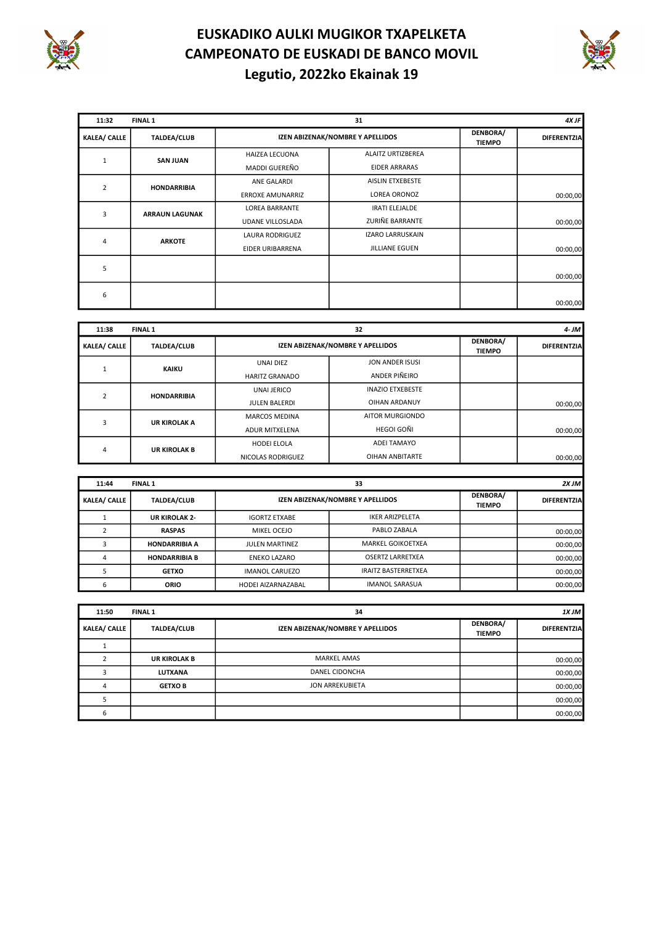



| 11:32               | <b>FINAL 1</b>        |                         | 31                               | 4X JF                     |                    |  |
|---------------------|-----------------------|-------------------------|----------------------------------|---------------------------|--------------------|--|
| <b>KALEA/ CALLE</b> | <b>TALDEA/CLUB</b>    |                         | IZEN ABIZENAK/NOMBRE Y APELLIDOS | DENBORA/<br><b>TIEMPO</b> | <b>DIFERENTZIA</b> |  |
|                     | <b>SAN JUAN</b>       | <b>HAIZEA LECUONA</b>   | ALAITZ URTIZBEREA                |                           |                    |  |
|                     |                       | MADDI GUEREÑO           | <b>EIDER ARRARAS</b>             |                           |                    |  |
|                     |                       | ANE GALARDI             | AISLIN ETXEBESTE                 |                           |                    |  |
| $\overline{2}$      | <b>HONDARRIBIA</b>    | ERROXE AMUNARRIZ        | LOREA ORONOZ                     |                           | 00:00,00           |  |
| 3                   |                       | <b>LOREA BARRANTE</b>   | <b>IRATI ELEJALDE</b>            |                           |                    |  |
|                     | <b>ARRAUN LAGUNAK</b> | <b>UDANE VILLOSLADA</b> | ZURIÑE BARRANTE                  |                           | 00:00,00           |  |
| 4                   | <b>ARKOTE</b>         | LAURA RODRIGUEZ         | IZARO LARRUSKAIN                 |                           |                    |  |
|                     |                       | EIDER URIBARRENA        | <b>JILLIANE EGUEN</b>            |                           | 00:00,00           |  |
| 5                   |                       |                         |                                  |                           |                    |  |
|                     |                       |                         |                                  |                           | 00:00,00           |  |
| 6                   |                       |                         |                                  |                           |                    |  |
|                     |                       |                         |                                  |                           | 00:00,00           |  |

| 11:38               | <b>FINAL 1</b>      | 32                    |                                  |                           | $4 - JM$           |  |
|---------------------|---------------------|-----------------------|----------------------------------|---------------------------|--------------------|--|
| <b>KALEA/ CALLE</b> | <b>TALDEA/CLUB</b>  |                       | IZEN ABIZENAK/NOMBRE Y APELLIDOS | DENBORA/<br><b>TIEMPO</b> | <b>DIFERENTZIA</b> |  |
|                     | <b>KAIKU</b>        | <b>UNAI DIEZ</b>      | JON ANDER ISUSI                  |                           |                    |  |
|                     |                     | <b>HARITZ GRANADO</b> | ANDER PIÑEIRO                    |                           |                    |  |
|                     |                     | <b>UNAI JERICO</b>    | <b>INAZIO ETXEBESTE</b>          |                           |                    |  |
|                     | <b>HONDARRIBIA</b>  | <b>JULEN BALERDI</b>  | <b>OIHAN ARDANUY</b>             |                           | 00:00,00           |  |
|                     |                     | <b>MARCOS MEDINA</b>  | AITOR MURGIONDO                  |                           |                    |  |
| 3                   | <b>UR KIROLAK A</b> | ADUR MITXELENA        | HEGOI GOÑI                       |                           | 00:00,00           |  |
| 4                   |                     | <b>HODEI ELOLA</b>    | <b>ADEI TAMAYO</b>               |                           |                    |  |
|                     | <b>UR KIROLAK B</b> | NICOLAS RODRIGUEZ     | <b>OIHAN ANBITARTE</b>           |                           | 00:00,00           |  |

| 11:44<br><b>FINAL 1</b> |                      | 33                    |                                  |                           | 2XJM               |
|-------------------------|----------------------|-----------------------|----------------------------------|---------------------------|--------------------|
| <b>KALEA/ CALLE</b>     | <b>TALDEA/CLUB</b>   |                       | IZEN ABIZENAK/NOMBRE Y APELLIDOS | DENBORA/<br><b>TIEMPO</b> | <b>DIFERENTZIA</b> |
|                         | <b>UR KIROLAK 2-</b> | <b>IGORTZ ETXABE</b>  | <b>IKER ARIZPELETA</b>           |                           |                    |
|                         | <b>RASPAS</b>        | MIKEL OCEJO           | PABLO ZABALA                     |                           | 00:00,00           |
|                         | <b>HONDARRIBIA A</b> | <b>JULEN MARTINEZ</b> | MARKEL GOIKOETXEA                |                           | 00:00,00           |
|                         | <b>HONDARRIBIA B</b> | <b>ENEKO LAZARO</b>   | <b>OSERTZ LARRETXEA</b>          |                           | 00:00,00           |
|                         | <b>GETXO</b>         | <b>IMANOL CARUEZO</b> | <b>IRAITZ BASTERRETXEA</b>       |                           | 00:00,00           |
|                         | <b>ORIO</b>          | HODEI AIZARNAZABAL    | <b>IMANOL SARASUA</b>            |                           | 00:00,00           |

| 11:50<br><b>FINAL 1</b> |                     | 34                               |                           | 1XJM               |
|-------------------------|---------------------|----------------------------------|---------------------------|--------------------|
| <b>KALEA/ CALLE</b>     | <b>TALDEA/CLUB</b>  | IZEN ABIZENAK/NOMBRE Y APELLIDOS | DENBORA/<br><b>TIEMPO</b> | <b>DIFERENTZIA</b> |
|                         |                     |                                  |                           |                    |
|                         | <b>UR KIROLAK B</b> | <b>MARKEL AMAS</b>               |                           | 00:00,00           |
|                         | <b>LUTXANA</b>      | DANEL CIDONCHA                   |                           | 00:00,00           |
|                         | <b>GETXO B</b>      | JON ARREKUBIETA                  |                           | 00:00,00           |
|                         |                     |                                  |                           | 00:00,00           |
|                         |                     |                                  |                           | 00:00,00           |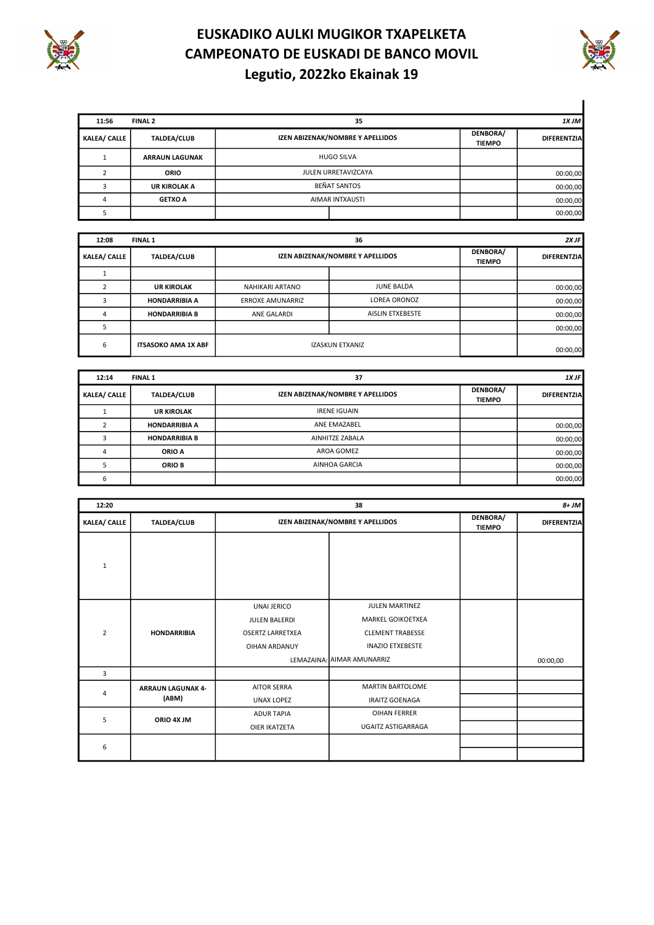



| 11:56               | <b>FINAL 2</b>        |                 | 35                               |                           | 1X JM              |
|---------------------|-----------------------|-----------------|----------------------------------|---------------------------|--------------------|
| <b>KALEA/ CALLE</b> | <b>TALDEA/CLUB</b>    |                 | IZEN ABIZENAK/NOMBRE Y APELLIDOS | DENBORA/<br><b>TIEMPO</b> | <b>DIFERENTZIA</b> |
|                     | <b>ARRAUN LAGUNAK</b> |                 | <b>HUGO SILVA</b>                |                           |                    |
|                     | <b>ORIO</b>           |                 | JULEN URRETAVIZCAYA              |                           | 00:00,00           |
|                     | <b>UR KIROLAK A</b>   |                 | <b>BEÑAT SANTOS</b>              |                           | 00:00,00           |
|                     | <b>GETXO A</b>        | AIMAR INTXAUSTI |                                  |                           | 00:00,00           |
|                     |                       |                 |                                  |                           | 00:00,00           |

| 12:08               | <b>FINAL 1</b>             |                                  | 36                      |                           | 2X JF              |  |
|---------------------|----------------------------|----------------------------------|-------------------------|---------------------------|--------------------|--|
| <b>KALEA/ CALLE</b> | <b>TALDEA/CLUB</b>         | IZEN ABIZENAK/NOMBRE Y APELLIDOS |                         | DENBORA/<br><b>TIEMPO</b> | <b>DIFERENTZIA</b> |  |
|                     |                            |                                  |                         |                           |                    |  |
|                     | <b>UR KIROLAK</b>          | NAHIKARI ARTANO                  | <b>JUNE BALDA</b>       |                           | 00:00,00           |  |
|                     | <b>HONDARRIBIA A</b>       | <b>ERROXE AMUNARRIZ</b>          | <b>LOREA ORONOZ</b>     |                           | 00:00,00           |  |
|                     | <b>HONDARRIBIA B</b>       | ANE GALARDI                      | <b>AISLIN ETXEBESTE</b> |                           | 00:00,00           |  |
|                     |                            |                                  |                         |                           | 00:00,00           |  |
| 6                   | <b>ITSASOKO AMA 1X ABF</b> |                                  | <b>IZASKUN ETXANIZ</b>  |                           | 00:00,00           |  |

| 12:14<br><b>FINAL 1</b> |                      | 37                               |                           | $1X$ JF            |
|-------------------------|----------------------|----------------------------------|---------------------------|--------------------|
| <b>KALEA/ CALLE</b>     | TALDEA/CLUB          | IZEN ABIZENAK/NOMBRE Y APELLIDOS | DENBORA/<br><b>TIEMPO</b> | <b>DIFERENTZIA</b> |
|                         | <b>UR KIROLAK</b>    | <b>IRENE IGUAIN</b>              |                           |                    |
|                         | <b>HONDARRIBIA A</b> | ANE EMAZABEL                     |                           | 00:00,00           |
|                         | <b>HONDARRIBIA B</b> | AINHITZE ZABALA                  |                           | 00:00,00           |
| 4                       | ORIO A               | AROA GOMEZ                       |                           | 00:00,00           |
|                         | ORIO B               | AINHOA GARCIA                    |                           | 00:00,00           |
|                         |                      |                                  |                           | 00:00,00           |

| 12:20               |                                   |                                                                                 | $8+JM$                                                                                                                  |                           |                    |
|---------------------|-----------------------------------|---------------------------------------------------------------------------------|-------------------------------------------------------------------------------------------------------------------------|---------------------------|--------------------|
| <b>KALEA/ CALLE</b> | <b>TALDEA/CLUB</b>                | IZEN ABIZENAK/NOMBRE Y APELLIDOS                                                |                                                                                                                         | DENBORA/<br><b>TIEMPO</b> | <b>DIFERENTZIA</b> |
| $\mathbf{1}$        |                                   |                                                                                 |                                                                                                                         |                           |                    |
| $\overline{2}$      | <b>HONDARRIBIA</b>                | UNAI JERICO<br>JULEN BALERDI<br><b>OSERTZ LARRETXEA</b><br><b>OIHAN ARDANUY</b> | JULEN MARTINEZ<br>MARKEL GOIKOETXEA<br><b>CLEMENT TRABESSE</b><br><b>INAZIO ETXEBESTE</b><br>LEMAZAINA: AIMAR AMUNARRIZ |                           | 00:00,00           |
| 3                   |                                   |                                                                                 |                                                                                                                         |                           |                    |
| $\overline{4}$      | <b>ARRAUN LAGUNAK 4-</b><br>(ABM) | <b>AITOR SERRA</b><br>UNAX LOPEZ                                                | <b>MARTIN BARTOLOME</b><br><b>IRAITZ GOENAGA</b>                                                                        |                           |                    |
| 5                   | ORIO 4X JM                        | <b>ADUR TAPIA</b><br>OIER IKATZETA                                              | OIHAN FERRER<br>UGAITZ ASTIGARRAGA                                                                                      |                           |                    |
| 6                   |                                   |                                                                                 |                                                                                                                         |                           |                    |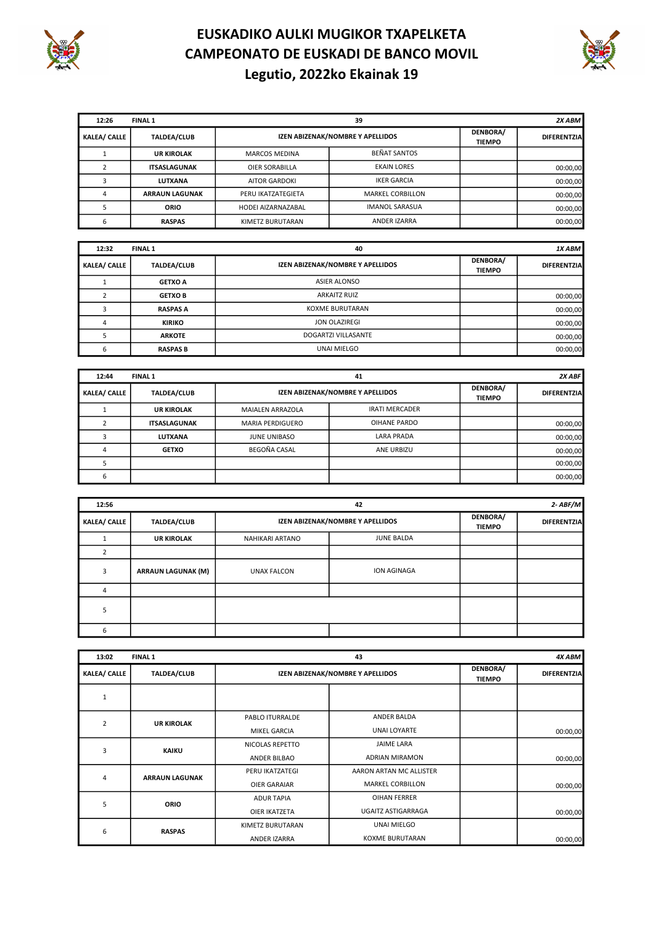



| 12:26               | 39<br>FINAL 1         |                                  |                         |                           | $2X$ ABM           |
|---------------------|-----------------------|----------------------------------|-------------------------|---------------------------|--------------------|
| <b>KALEA/ CALLE</b> | <b>TALDEA/CLUB</b>    | IZEN ABIZENAK/NOMBRE Y APELLIDOS |                         | DENBORA/<br><b>TIEMPO</b> | <b>DIFERENTZIA</b> |
|                     | <b>UR KIROLAK</b>     | <b>MARCOS MEDINA</b>             | <b>BEÑAT SANTOS</b>     |                           |                    |
|                     | <b>ITSASLAGUNAK</b>   | <b>OIER SORABILLA</b>            | <b>EKAIN LORES</b>      |                           | 00:00,00           |
|                     | LUTXANA               | <b>AITOR GARDOKI</b>             | <b>IKER GARCIA</b>      |                           | 00:00,00           |
| 4                   | <b>ARRAUN LAGUNAK</b> | PERU IKATZATEGIETA               | <b>MARKEL CORBILLON</b> |                           | 00:00,00           |
|                     | <b>ORIO</b>           | HODEI AIZARNAZABAL               | <b>IMANOL SARASUA</b>   |                           | 00:00,00           |
| 6                   | <b>RASPAS</b>         | KIMETZ BURUTARAN                 | ANDER IZARRA            |                           | 00:00,00           |

| 12:32<br><b>FINAL 1</b> |                    | 40                                                            |  | 1X ABM             |
|-------------------------|--------------------|---------------------------------------------------------------|--|--------------------|
| <b>KALEA/ CALLE</b>     | <b>TALDEA/CLUB</b> | DENBORA/<br>IZEN ABIZENAK/NOMBRE Y APELLIDOS<br><b>TIEMPO</b> |  | <b>DIFERENTZIA</b> |
|                         | <b>GETXO A</b>     | ASIER ALONSO                                                  |  |                    |
|                         | <b>GETXO B</b>     | <b>ARKAITZ RUIZ</b>                                           |  | 00:00,00           |
|                         | <b>RASPAS A</b>    | <b>KOXME BURUTARAN</b>                                        |  | 00:00,00           |
|                         | <b>KIRIKO</b>      | JON OLAZIREGI                                                 |  | 00:00,00           |
|                         | <b>ARKOTE</b>      | DOGARTZI VILLASANTE                                           |  | 00:00,00           |
|                         | <b>RASPAS B</b>    | UNAI MIELGO                                                   |  | 00:00,00           |

| 12:44<br><b>FINAL 1</b> |                     |                                  | $2X$ ABF              |                           |                    |
|-------------------------|---------------------|----------------------------------|-----------------------|---------------------------|--------------------|
| <b>KALEA/ CALLE</b>     | <b>TALDEA/CLUB</b>  | IZEN ABIZENAK/NOMBRE Y APELLIDOS |                       | DENBORA/<br><b>TIEMPO</b> | <b>DIFERENTZIA</b> |
|                         | <b>UR KIROLAK</b>   | <b>MAIALEN ARRAZOLA</b>          | <b>IRATI MERCADER</b> |                           |                    |
|                         | <b>ITSASLAGUNAK</b> | <b>MARIA PERDIGUERO</b>          | OIHANE PARDO          |                           | 00:00,00           |
|                         | LUTXANA             | JUNE UNIBASO                     | <b>LARA PRADA</b>     |                           | 00:00,00           |
|                         | <b>GETXO</b>        | BEGOÑA CASAL                     | ANE URBIZU            |                           | 00:00,00           |
|                         |                     |                                  |                       |                           | 00:00,00           |
|                         |                     |                                  |                       |                           | 00:00,00           |

| 12:56               |                           | $2 - ABF/M$<br>42                |                   |                           |                    |
|---------------------|---------------------------|----------------------------------|-------------------|---------------------------|--------------------|
| <b>KALEA/ CALLE</b> | <b>TALDEA/CLUB</b>        | IZEN ABIZENAK/NOMBRE Y APELLIDOS |                   | DENBORA/<br><b>TIEMPO</b> | <b>DIFERENTZIA</b> |
|                     | <b>UR KIROLAK</b>         | NAHIKARI ARTANO                  | <b>JUNE BALDA</b> |                           |                    |
|                     |                           |                                  |                   |                           |                    |
| 3                   | <b>ARRAUN LAGUNAK (M)</b> | <b>UNAX FALCON</b>               | ION AGINAGA       |                           |                    |
| 4                   |                           |                                  |                   |                           |                    |
| 5                   |                           |                                  |                   |                           |                    |
| h                   |                           |                                  |                   |                           |                    |

| 13:02               | <b>FINAL 1</b>        |                                  | 43                      |                           |                    |
|---------------------|-----------------------|----------------------------------|-------------------------|---------------------------|--------------------|
| <b>KALEA/ CALLE</b> | <b>TALDEA/CLUB</b>    | IZEN ABIZENAK/NOMBRE Y APELLIDOS |                         | DENBORA/<br><b>TIEMPO</b> | <b>DIFERENTZIA</b> |
| 1                   |                       |                                  |                         |                           |                    |
| $\overline{2}$      |                       | PABLO ITURRALDE                  | ANDER BALDA             |                           |                    |
|                     | <b>UR KIROLAK</b>     | MIKEL GARCIA                     | <b>UNAI LOYARTE</b>     |                           | 00:00,00           |
| 3                   | <b>KAIKU</b>          | NICOLAS REPETTO                  | <b>JAIME LARA</b>       |                           |                    |
|                     |                       | ANDER BILBAO                     | <b>ADRIAN MIRAMON</b>   |                           | 00:00,00           |
| 4                   | <b>ARRAUN LAGUNAK</b> | PERU IKATZATEGI                  | AARON ARTAN MC ALLISTER |                           |                    |
|                     |                       | <b>OIER GARAIAR</b>              | <b>MARKEL CORBILLON</b> |                           | 00:00,00           |
| 5                   | ORIO                  | <b>ADUR TAPIA</b>                | <b>OIHAN FERRER</b>     |                           |                    |
|                     |                       | OIER IKATZETA                    | UGAITZ ASTIGARRAGA      |                           | 00:00,00           |
|                     |                       | KIMETZ BURUTARAN                 | UNAI MIELGO             |                           |                    |
| 6                   | <b>RASPAS</b>         | ANDER IZARRA                     | <b>KOXME BURUTARAN</b>  |                           | 00:00,00           |